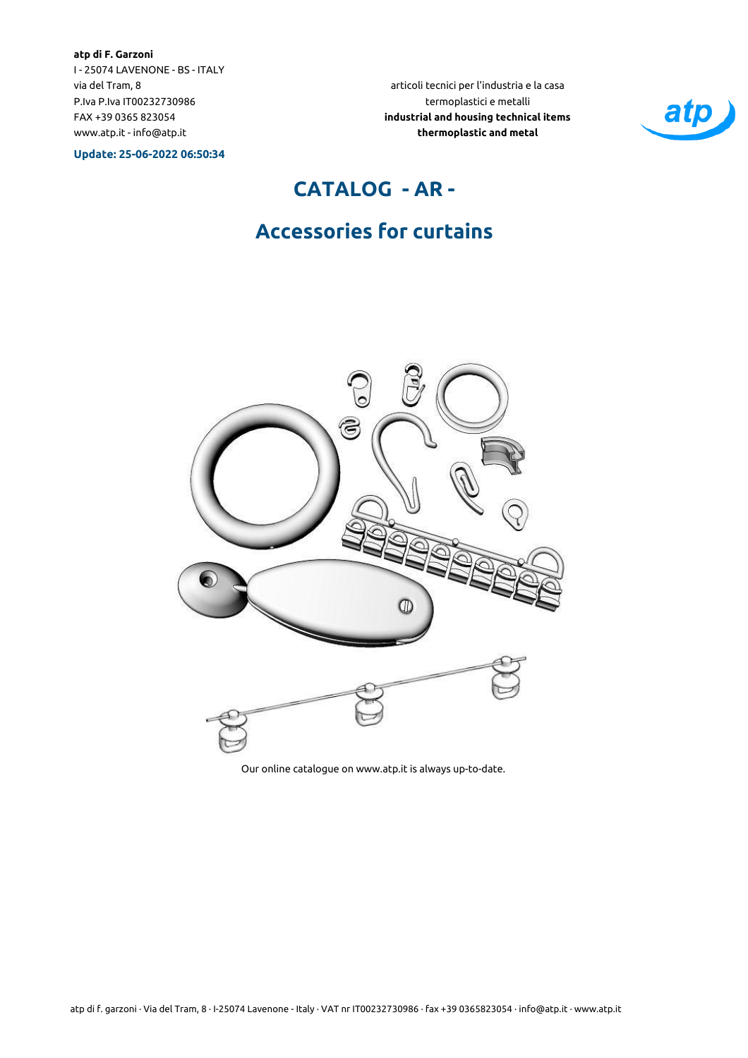**atp di F. Garzoni** I - 25074 LAVENONE - BS - ITALY via del Tram, 8 P.Iva P.Iva IT00232730986 FAX +39 0365 823054 www.atp.it - info@atp.it

**Update: 25-06-2022 06:50:34**

articoli tecnici per l'industria e la casa termoplastici e metalli **industrial and housing technical items thermoplastic and metal**



## **CATALOG - AR -**

## **Accessories for curtains**



Our online catalogue on www.atp.it is always up-to-date.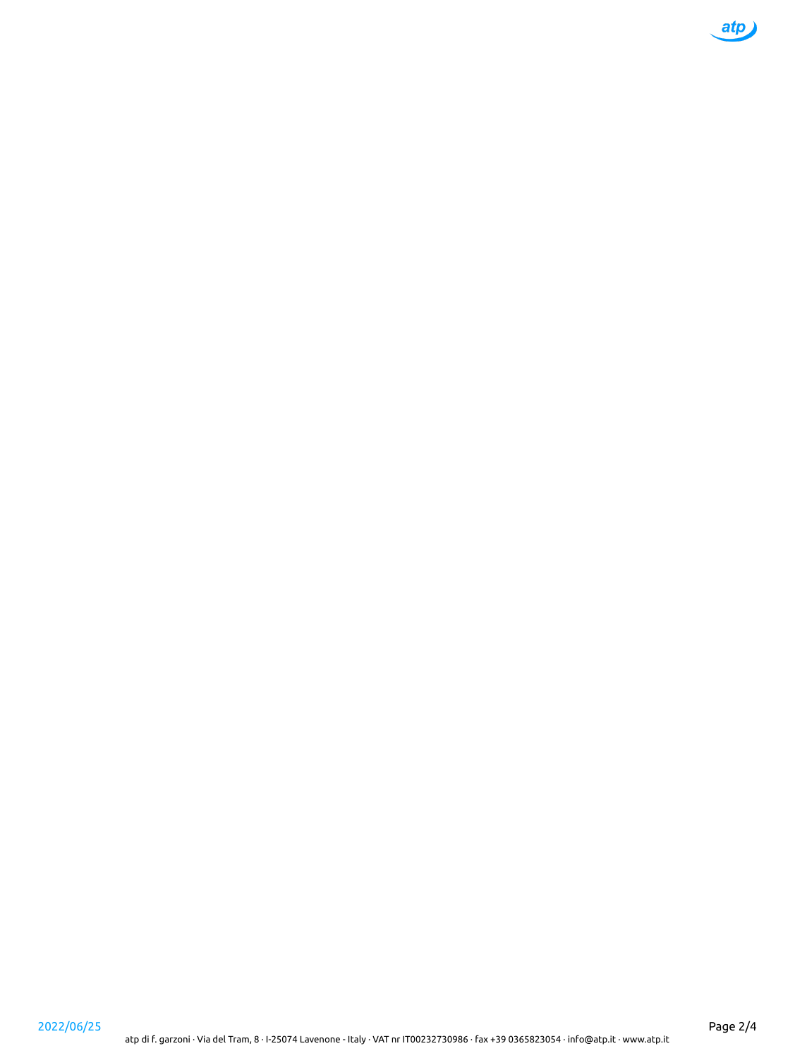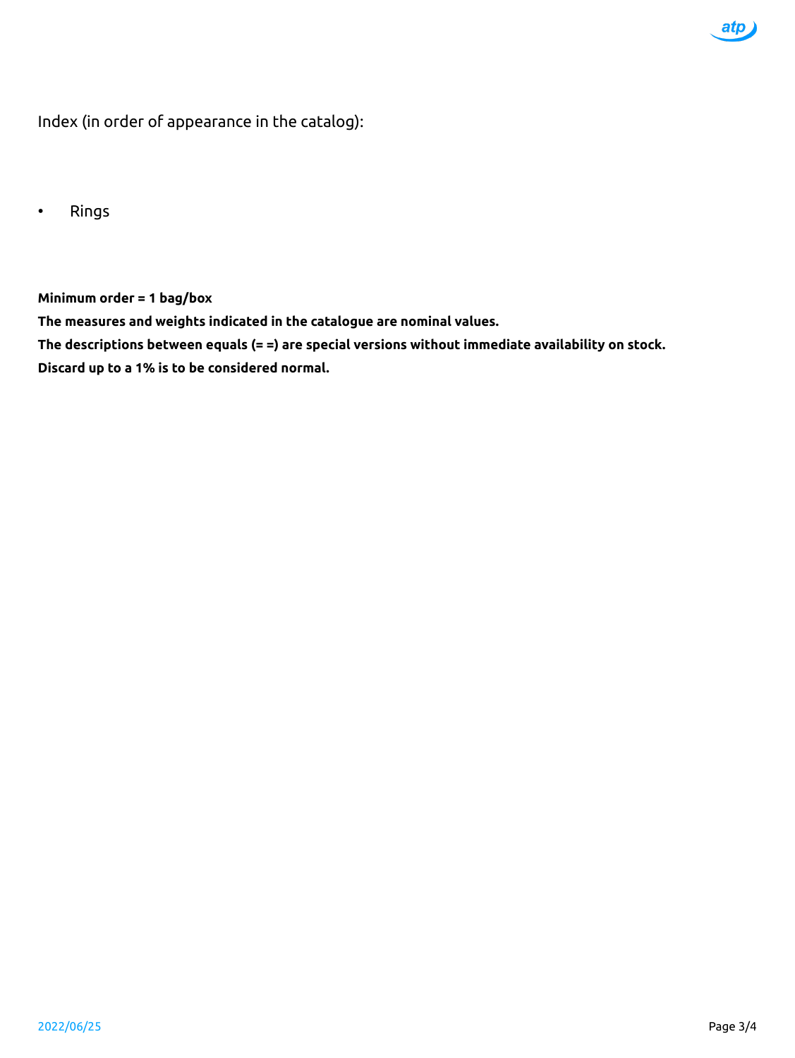

Index (in order of appearance in the catalog):

• Rings

## **Minimum order = 1 bag/box**

**The measures and weights indicated in the catalogue are nominal values. The descriptions between equals (= =) are special versions without immediate availability on stock. Discard up to a 1% is to be considered normal.**